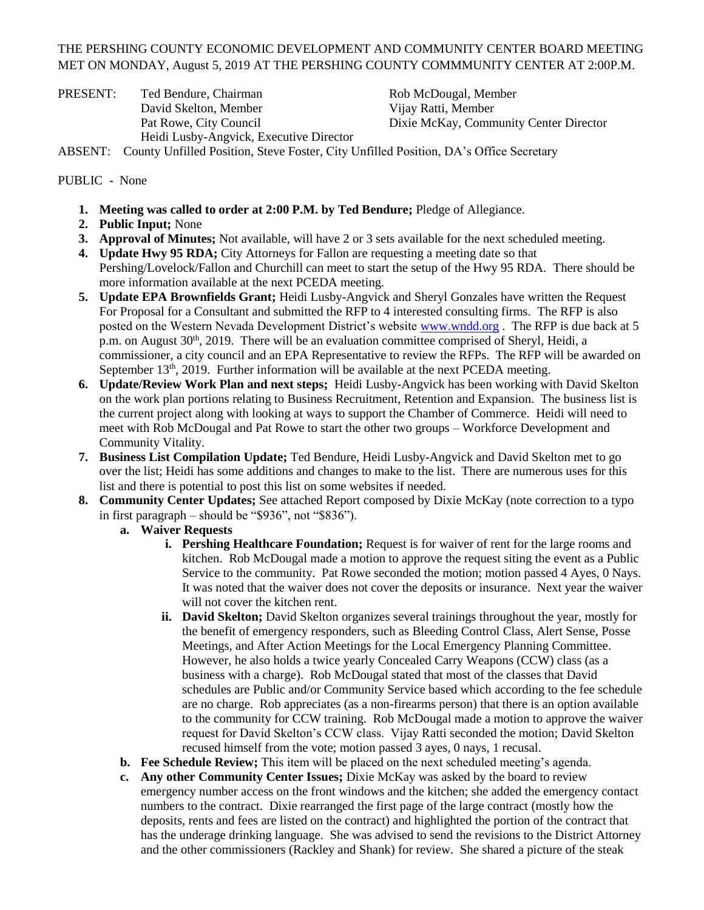## THE PERSHING COUNTY ECONOMIC DEVELOPMENT AND COMMUNITY CENTER BOARD MEETING MET ON MONDAY, August 5, 2019 AT THE PERSHING COUNTY COMMMUNITY CENTER AT 2:00P.M.

PRESENT: Ted Bendure, Chairman Rob McDougal, Member David Skelton, Member Vijay Ratti, Member Heidi Lusby-Angvick, Executive Director

Pat Rowe, City Council Dixie McKay, Community Center Director

ABSENT: County Unfilled Position, Steve Foster, City Unfilled Position, DA's Office Secretary

## PUBLIC - None

- **1. Meeting was called to order at 2:00 P.M. by Ted Bendure;** Pledge of Allegiance.
- **2. Public Input;** None
- **3. Approval of Minutes;** Not available, will have 2 or 3 sets available for the next scheduled meeting.
- **4. Update Hwy 95 RDA;** City Attorneys for Fallon are requesting a meeting date so that Pershing/Lovelock/Fallon and Churchill can meet to start the setup of the Hwy 95 RDA. There should be more information available at the next PCEDA meeting.
- **5. Update EPA Brownfields Grant;** Heidi Lusby-Angvick and Sheryl Gonzales have written the Request For Proposal for a Consultant and submitted the RFP to 4 interested consulting firms. The RFP is also posted on the Western Nevada Development District's website [www.wndd.org](http://www.wndd.org/). The RFP is due back at 5 p.m. on August 30<sup>th</sup>, 2019. There will be an evaluation committee comprised of Sheryl, Heidi, a commissioner, a city council and an EPA Representative to review the RFPs. The RFP will be awarded on September 13<sup>th</sup>, 2019. Further information will be available at the next PCEDA meeting.
- **6. Update/Review Work Plan and next steps;** Heidi Lusby-Angvick has been working with David Skelton on the work plan portions relating to Business Recruitment, Retention and Expansion. The business list is the current project along with looking at ways to support the Chamber of Commerce. Heidi will need to meet with Rob McDougal and Pat Rowe to start the other two groups – Workforce Development and Community Vitality.
- **7. Business List Compilation Update;** Ted Bendure, Heidi Lusby-Angvick and David Skelton met to go over the list; Heidi has some additions and changes to make to the list. There are numerous uses for this list and there is potential to post this list on some websites if needed.
- **8. Community Center Updates;** See attached Report composed by Dixie McKay (note correction to a typo in first paragraph – should be "\$936", not "\$836").
	- **a. Waiver Requests**
		- **i.** Pershing Healthcare Foundation; Request is for waiver of rent for the large rooms and kitchen. Rob McDougal made a motion to approve the request siting the event as a Public Service to the community. Pat Rowe seconded the motion; motion passed 4 Ayes, 0 Nays. It was noted that the waiver does not cover the deposits or insurance. Next year the waiver will not cover the kitchen rent.
		- **ii. David Skelton;** David Skelton organizes several trainings throughout the year, mostly for the benefit of emergency responders, such as Bleeding Control Class, Alert Sense, Posse Meetings, and After Action Meetings for the Local Emergency Planning Committee. However, he also holds a twice yearly Concealed Carry Weapons (CCW) class (as a business with a charge). Rob McDougal stated that most of the classes that David schedules are Public and/or Community Service based which according to the fee schedule are no charge. Rob appreciates (as a non-firearms person) that there is an option available to the community for CCW training. Rob McDougal made a motion to approve the waiver request for David Skelton's CCW class. Vijay Ratti seconded the motion; David Skelton recused himself from the vote; motion passed 3 ayes, 0 nays, 1 recusal.
	- **b. Fee Schedule Review;** This item will be placed on the next scheduled meeting's agenda.
	- **c. Any other Community Center Issues;** Dixie McKay was asked by the board to review emergency number access on the front windows and the kitchen; she added the emergency contact numbers to the contract. Dixie rearranged the first page of the large contract (mostly how the deposits, rents and fees are listed on the contract) and highlighted the portion of the contract that has the underage drinking language. She was advised to send the revisions to the District Attorney and the other commissioners (Rackley and Shank) for review. She shared a picture of the steak